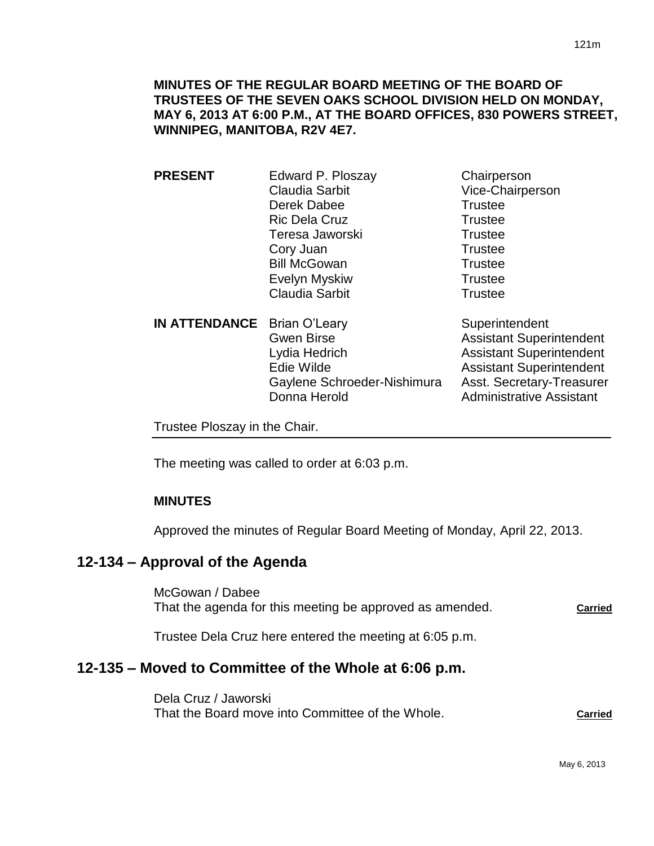## **MINUTES OF THE REGULAR BOARD MEETING OF THE BOARD OF TRUSTEES OF THE SEVEN OAKS SCHOOL DIVISION HELD ON MONDAY, MAY 6, 2013 AT 6:00 P.M., AT THE BOARD OFFICES, 830 POWERS STREET, WINNIPEG, MANITOBA, R2V 4E7.**

- **PRESENT** Edward P. Ploszay Chairperson Claudia Sarbit Vice-Chairperson Derek Dabee Trustee Ric Dela Cruz **Trustee** Teresa Jaworski **Trustee** Cory Juan Trustee Bill McGowan Trustee Evelyn Myskiw **Trustee** Claudia Sarbit **Trustee IN ATTENDANCE** Brian O'Leary Superintendent
	- Gwen Birse **Assistant Superintendent** Lydia Hedrich Assistant Superintendent Edie Wilde **Assistant Superintendent** Gaylene Schroeder-Nishimura Asst. Secretary-Treasurer Donna Herold **Administrative Assistant**

Trustee Ploszay in the Chair.

The meeting was called to order at 6:03 p.m.

## **MINUTES**

Approved the minutes of Regular Board Meeting of Monday, April 22, 2013.

# **12-134 – Approval of the Agenda**

McGowan / Dabee That the agenda for this meeting be approved as amended. **Carried**

Trustee Dela Cruz here entered the meeting at 6:05 p.m.

# **12-135 – Moved to Committee of the Whole at 6:06 p.m.**

Dela Cruz / Jaworski That the Board move into Committee of the Whole. **Carried**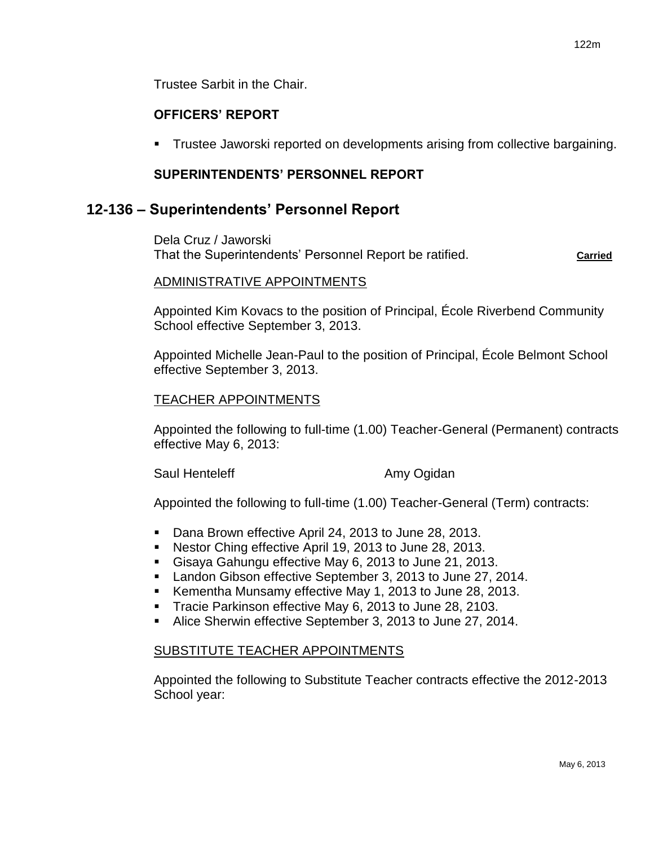Trustee Sarbit in the Chair.

## **OFFICERS' REPORT**

Trustee Jaworski reported on developments arising from collective bargaining.

## **SUPERINTENDENTS' PERSONNEL REPORT**

## **12-136 – Superintendents' Personnel Report**

Dela Cruz / Jaworski That the Superintendents' Personnel Report be ratified. **Carried**

#### ADMINISTRATIVE APPOINTMENTS

Appointed Kim Kovacs to the position of Principal, École Riverbend Community School effective September 3, 2013.

Appointed Michelle Jean-Paul to the position of Principal, École Belmont School effective September 3, 2013.

### TEACHER APPOINTMENTS

Appointed the following to full-time (1.00) Teacher-General (Permanent) contracts effective May 6, 2013:

Saul Henteleff **Amy Ogidan** 

Appointed the following to full-time (1.00) Teacher-General (Term) contracts:

- Dana Brown effective April 24, 2013 to June 28, 2013.
- Nestor Ching effective April 19, 2013 to June 28, 2013.
- Gisaya Gahungu effective May 6, 2013 to June 21, 2013.
- **Landon Gibson effective September 3, 2013 to June 27, 2014.**
- Kementha Munsamy effective May 1, 2013 to June 28, 2013.
- **Tracie Parkinson effective May 6, 2013 to June 28, 2103.**
- Alice Sherwin effective September 3, 2013 to June 27, 2014.

### SUBSTITUTE TEACHER APPOINTMENTS

Appointed the following to Substitute Teacher contracts effective the 2012-2013 School year: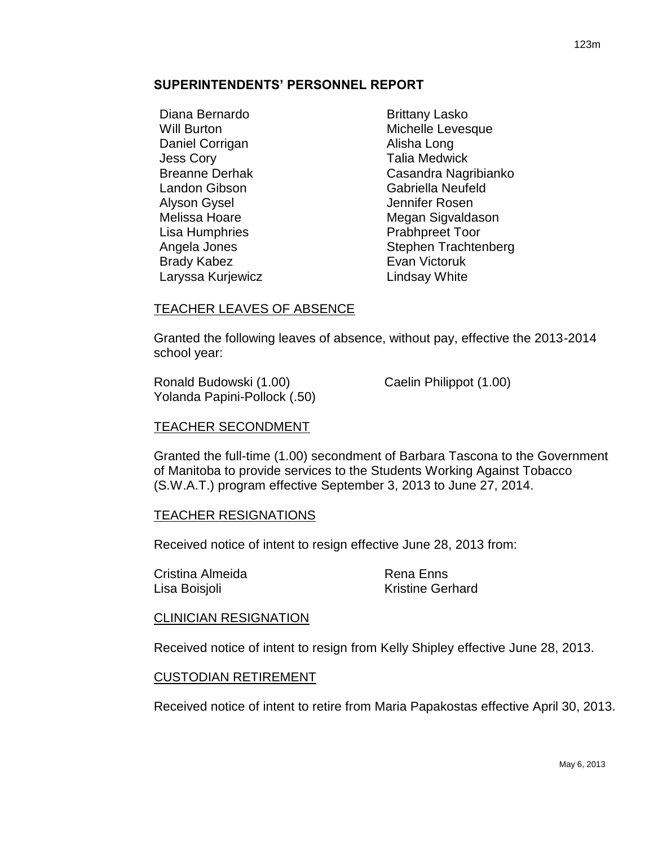### **SUPERINTENDENTS' PERSONNEL REPORT**

Diana Bernardo **Brittany Lasko** Daniel Corrigan Alisha Long Jess Cory Talia Medwick Landon Gibson Gabriella Neufeld Alyson Gysel **Alyson Gysel** Jennifer Rosen Lisa Humphries **Prabhpreet Toor** Brady Kabez **Evan Victoruk** Laryssa Kurjewicz **Lindsay White** 

Will Burton **Michelle Levesque** Breanne Derhak Casandra Nagribianko Melissa Hoare **Megan Sigvaldason** Angela Jones Stephen Trachtenberg

### TEACHER LEAVES OF ABSENCE

Granted the following leaves of absence, without pay, effective the 2013-2014 school year:

Ronald Budowski (1.00) Caelin Philippot (1.00) Yolanda Papini-Pollock (.50)

#### TEACHER SECONDMENT

Granted the full-time (1.00) secondment of Barbara Tascona to the Government of Manitoba to provide services to the Students Working Against Tobacco (S.W.A.T.) program effective September 3, 2013 to June 27, 2014.

#### TEACHER RESIGNATIONS

Received notice of intent to resign effective June 28, 2013 from:

Cristina Almeida **Rena Enns** 

Lisa Boisjoli **Kristine Gerhard** 

#### CLINICIAN RESIGNATION

Received notice of intent to resign from Kelly Shipley effective June 28, 2013.

### CUSTODIAN RETIREMENT

Received notice of intent to retire from Maria Papakostas effective April 30, 2013.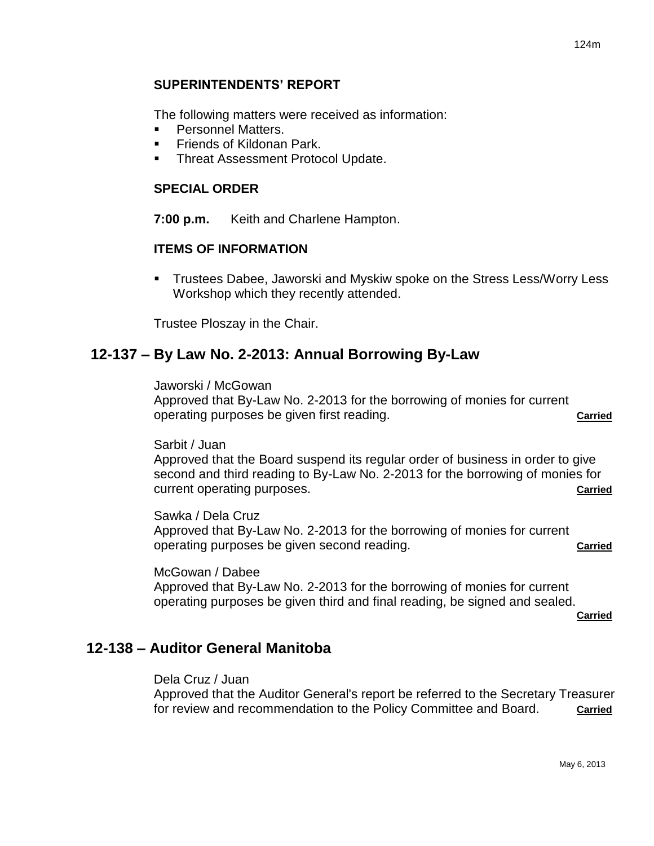## **SUPERINTENDENTS' REPORT**

The following matters were received as information:

- Personnel Matters.
- **Friends of Kildonan Park.**
- Threat Assessment Protocol Update.

### **SPECIAL ORDER**

**7:00 p.m.** Keith and Charlene Hampton.

### **ITEMS OF INFORMATION**

**Trustees Dabee, Jaworski and Myskiw spoke on the Stress Less/Worry Less** Workshop which they recently attended.

Trustee Ploszay in the Chair.

# **12-137 – By Law No. 2-2013: Annual Borrowing By-Law**

Jaworski / McGowan

Approved that By-Law No. 2-2013 for the borrowing of monies for current operating purposes be given first reading. **Carried** contains the contract of the contract of carried

Sarbit / Juan

Approved that the Board suspend its regular order of business in order to give second and third reading to By-Law No. 2-2013 for the borrowing of monies for current operating purposes. **Carried**

Sawka / Dela Cruz Approved that By-Law No. 2-2013 for the borrowing of monies for current operating purposes be given second reading. **Carried**

McGowan / Dabee

Approved that By-Law No. 2-2013 for the borrowing of monies for current operating purposes be given third and final reading, be signed and sealed.

**Carried**

# **12-138 – Auditor General Manitoba**

Dela Cruz / Juan

Approved that the Auditor General's report be referred to the Secretary Treasurer for review and recommendation to the Policy Committee and Board. **Carried**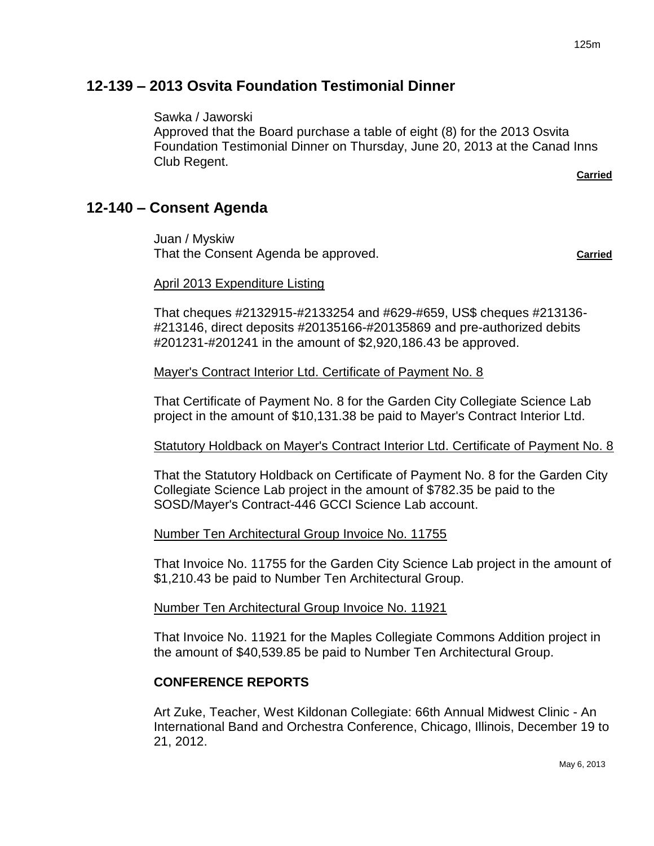# **12-139 – 2013 Osvita Foundation Testimonial Dinner**

Sawka / Jaworski

Approved that the Board purchase a table of eight (8) for the 2013 Osvita Foundation Testimonial Dinner on Thursday, June 20, 2013 at the Canad Inns Club Regent.

**Carried**

# **12-140 – Consent Agenda**

Juan / Myskiw That the Consent Agenda be approved. **Carried** carried

### April 2013 Expenditure Listing

That cheques #2132915-#2133254 and #629-#659, US\$ cheques #213136- #213146, direct deposits #20135166-#20135869 and pre-authorized debits #201231-#201241 in the amount of \$2,920,186.43 be approved.

### Mayer's Contract Interior Ltd. Certificate of Payment No. 8

That Certificate of Payment No. 8 for the Garden City Collegiate Science Lab project in the amount of \$10,131.38 be paid to Mayer's Contract Interior Ltd.

### Statutory Holdback on Mayer's Contract Interior Ltd. Certificate of Payment No. 8

That the Statutory Holdback on Certificate of Payment No. 8 for the Garden City Collegiate Science Lab project in the amount of \$782.35 be paid to the SOSD/Mayer's Contract-446 GCCI Science Lab account.

### Number Ten Architectural Group Invoice No. 11755

That Invoice No. 11755 for the Garden City Science Lab project in the amount of \$1,210.43 be paid to Number Ten Architectural Group.

### Number Ten Architectural Group Invoice No. 11921

That Invoice No. 11921 for the Maples Collegiate Commons Addition project in the amount of \$40,539.85 be paid to Number Ten Architectural Group.

### **CONFERENCE REPORTS**

Art Zuke, Teacher, West Kildonan Collegiate: 66th Annual Midwest Clinic - An International Band and Orchestra Conference, Chicago, Illinois, December 19 to 21, 2012.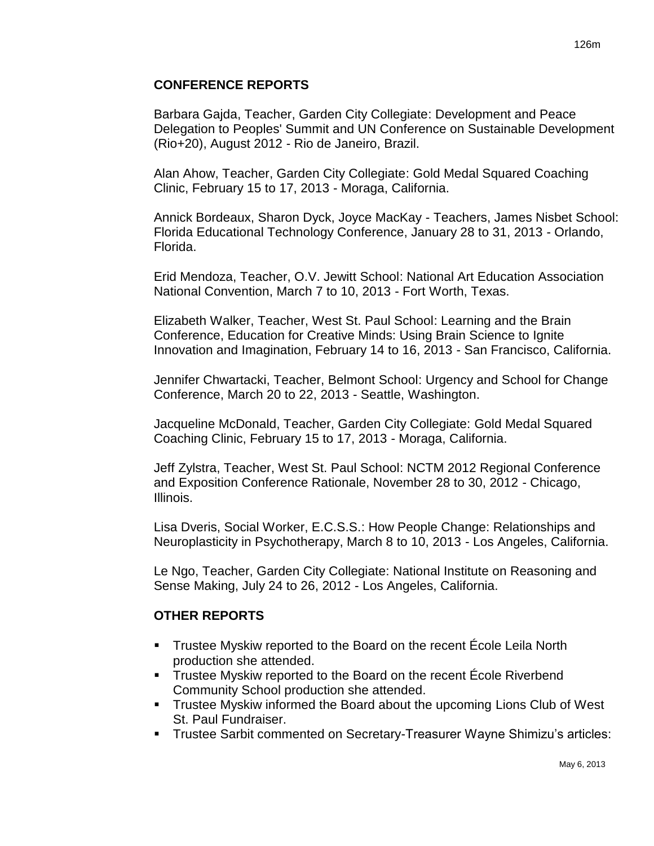## **CONFERENCE REPORTS**

Barbara Gajda, Teacher, Garden City Collegiate: Development and Peace Delegation to Peoples' Summit and UN Conference on Sustainable Development (Rio+20), August 2012 - Rio de Janeiro, Brazil.

Alan Ahow, Teacher, Garden City Collegiate: Gold Medal Squared Coaching Clinic, February 15 to 17, 2013 - Moraga, California.

Annick Bordeaux, Sharon Dyck, Joyce MacKay - Teachers, James Nisbet School: Florida Educational Technology Conference, January 28 to 31, 2013 - Orlando, Florida.

Erid Mendoza, Teacher, O.V. Jewitt School: National Art Education Association National Convention, March 7 to 10, 2013 - Fort Worth, Texas.

Elizabeth Walker, Teacher, West St. Paul School: Learning and the Brain Conference, Education for Creative Minds: Using Brain Science to Ignite Innovation and Imagination, February 14 to 16, 2013 - San Francisco, California.

Jennifer Chwartacki, Teacher, Belmont School: Urgency and School for Change Conference, March 20 to 22, 2013 - Seattle, Washington.

Jacqueline McDonald, Teacher, Garden City Collegiate: Gold Medal Squared Coaching Clinic, February 15 to 17, 2013 - Moraga, California.

Jeff Zylstra, Teacher, West St. Paul School: NCTM 2012 Regional Conference and Exposition Conference Rationale, November 28 to 30, 2012 - Chicago, Illinois.

Lisa Dveris, Social Worker, E.C.S.S.: How People Change: Relationships and Neuroplasticity in Psychotherapy, March 8 to 10, 2013 - Los Angeles, California.

Le Ngo, Teacher, Garden City Collegiate: National Institute on Reasoning and Sense Making, July 24 to 26, 2012 - Los Angeles, California.

## **OTHER REPORTS**

- **Trustee Myskiw reported to the Board on the recent École Leila North** production she attended.
- **Trustee Myskiw reported to the Board on the recent École Riverbend** Community School production she attended.
- **Trustee Myskiw informed the Board about the upcoming Lions Club of West** St. Paul Fundraiser.
- **Trustee Sarbit commented on Secretary-Treasurer Wayne Shimizu's articles:**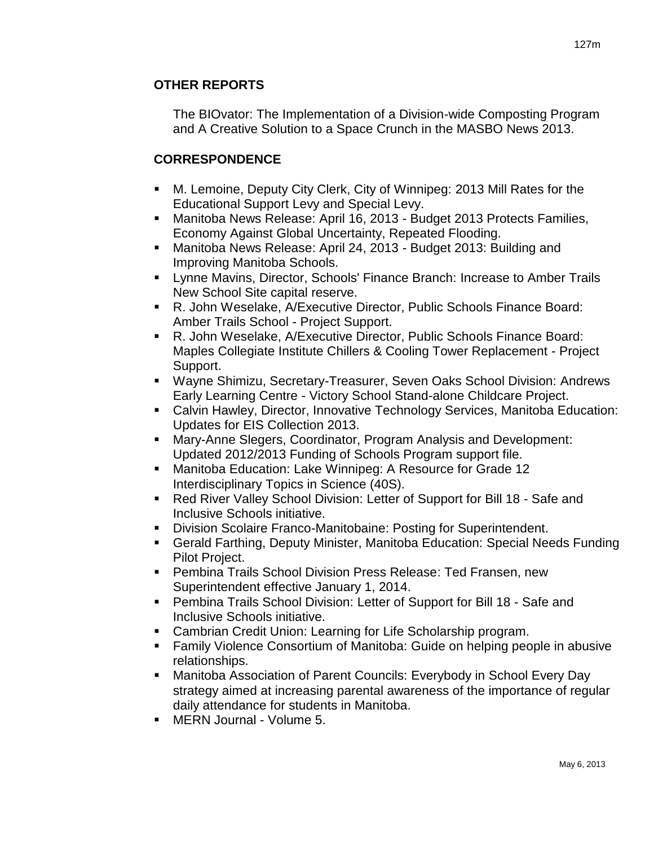## **OTHER REPORTS**

The BIOvator: The Implementation of a Division-wide Composting Program and A Creative Solution to a Space Crunch in the MASBO News 2013.

## **CORRESPONDENCE**

- M. Lemoine, Deputy City Clerk, City of Winnipeg: 2013 Mill Rates for the Educational Support Levy and Special Levy.
- Manitoba News Release: April 16, 2013 Budget 2013 Protects Families, Economy Against Global Uncertainty, Repeated Flooding.
- Manitoba News Release: April 24, 2013 Budget 2013: Building and Improving Manitoba Schools.
- Lynne Mavins, Director, Schools' Finance Branch: Increase to Amber Trails New School Site capital reserve.
- R. John Weselake, A/Executive Director, Public Schools Finance Board: Amber Trails School - Project Support.
- R. John Weselake, A/Executive Director, Public Schools Finance Board: Maples Collegiate Institute Chillers & Cooling Tower Replacement - Project Support.
- Wayne Shimizu, Secretary-Treasurer, Seven Oaks School Division: Andrews Early Learning Centre - Victory School Stand-alone Childcare Project.
- Calvin Hawley, Director, Innovative Technology Services, Manitoba Education: Updates for EIS Collection 2013.
- Mary-Anne Slegers, Coordinator, Program Analysis and Development: Updated 2012/2013 Funding of Schools Program support file.
- **Manitoba Education: Lake Winnipeg: A Resource for Grade 12** Interdisciplinary Topics in Science (40S).
- Red River Valley School Division: Letter of Support for Bill 18 Safe and Inclusive Schools initiative.
- **Division Scolaire Franco-Manitobaine: Posting for Superintendent.**
- Gerald Farthing, Deputy Minister, Manitoba Education: Special Needs Funding Pilot Project.
- Pembina Trails School Division Press Release: Ted Fransen, new Superintendent effective January 1, 2014.
- Pembina Trails School Division: Letter of Support for Bill 18 Safe and Inclusive Schools initiative.
- Cambrian Credit Union: Learning for Life Scholarship program.
- Family Violence Consortium of Manitoba: Guide on helping people in abusive relationships.
- Manitoba Association of Parent Councils: Everybody in School Every Day strategy aimed at increasing parental awareness of the importance of regular daily attendance for students in Manitoba.
- **MERN Journal Volume 5.**